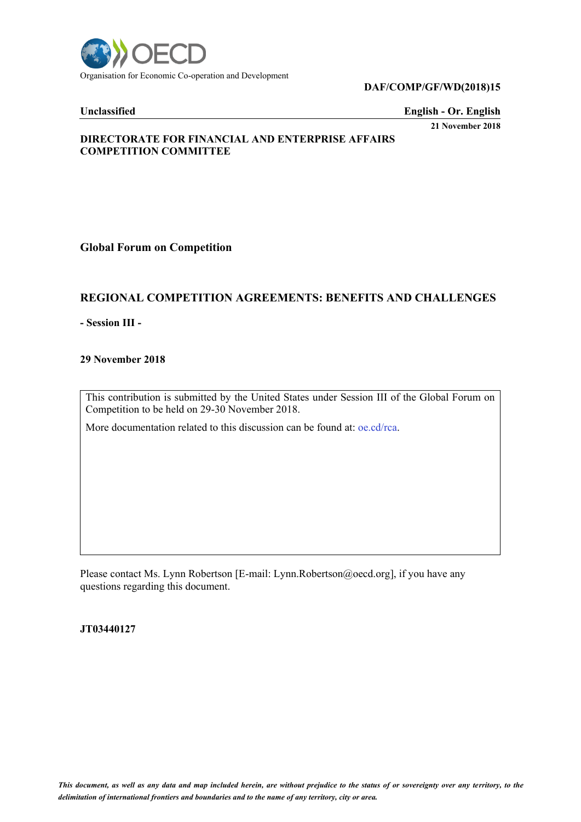

### **DAF/COMP/GF/WD(2018)15**

**Unclassified English - Or. English**

**21 November 2018**

# **DIRECTORATE FOR FINANCIAL AND ENTERPRISE AFFAIRS COMPETITION COMMITTEE**

# **Global Forum on Competition**

# **REGIONAL COMPETITION AGREEMENTS: BENEFITS AND CHALLENGES**

**- Session III -**

## **29 November 2018**

This contribution is submitted by the United States under Session III of the Global Forum on Competition to be held on 29-30 November 2018.

More documentation related to this discussion can be found at: oe.cd/rca.

Please contact Ms. Lynn Robertson [E-mail: Lynn.Robertson@oecd.org], if you have any questions regarding this document.

**JT03440127**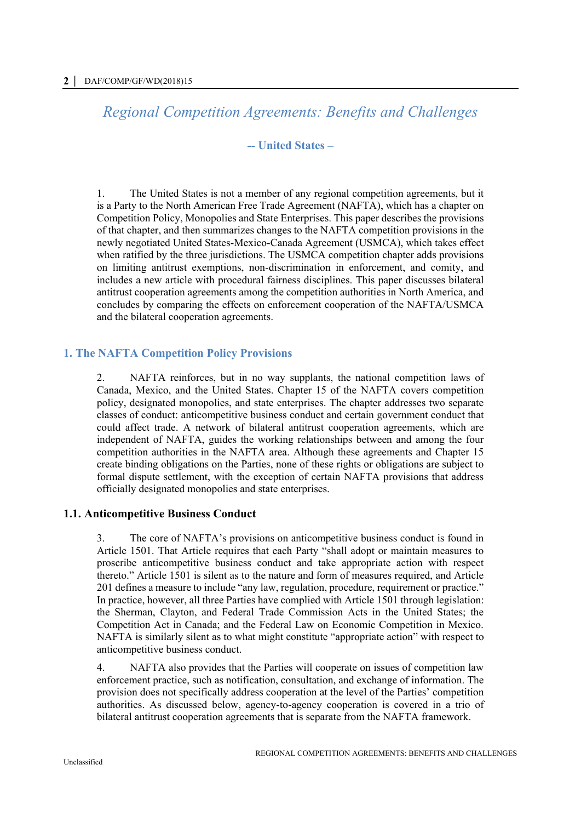*Regional Competition Agreements: Benefits and Challenges*

# **-- United States –**

1. The United States is not a member of any regional competition agreements, but it is a Party to the North American Free Trade Agreement (NAFTA), which has a chapter on Competition Policy, Monopolies and State Enterprises. This paper describes the provisions of that chapter, and then summarizes changes to the NAFTA competition provisions in the newly negotiated United States-Mexico-Canada Agreement (USMCA), which takes effect when ratified by the three jurisdictions. The USMCA competition chapter adds provisions on limiting antitrust exemptions, non-discrimination in enforcement, and comity, and includes a new article with procedural fairness disciplines. This paper discusses bilateral antitrust cooperation agreements among the competition authorities in North America, and concludes by comparing the effects on enforcement cooperation of the NAFTA/USMCA and the bilateral cooperation agreements.

# **1. The NAFTA Competition Policy Provisions**

2. NAFTA reinforces, but in no way supplants, the national competition laws of Canada, Mexico, and the United States. Chapter 15 of the NAFTA covers competition policy, designated monopolies, and state enterprises. The chapter addresses two separate classes of conduct: anticompetitive business conduct and certain government conduct that could affect trade. A network of bilateral antitrust cooperation agreements, which are independent of NAFTA, guides the working relationships between and among the four competition authorities in the NAFTA area. Although these agreements and Chapter 15 create binding obligations on the Parties, none of these rights or obligations are subject to formal dispute settlement, with the exception of certain NAFTA provisions that address officially designated monopolies and state enterprises.

# **1.1. Anticompetitive Business Conduct**

3. The core of NAFTA's provisions on anticompetitive business conduct is found in Article 1501. That Article requires that each Party "shall adopt or maintain measures to proscribe anticompetitive business conduct and take appropriate action with respect thereto." Article 1501 is silent as to the nature and form of measures required, and Article 201 defines a measure to include "any law, regulation, procedure, requirement or practice." In practice, however, all three Parties have complied with Article 1501 through legislation: the Sherman, Clayton, and Federal Trade Commission Acts in the United States; the Competition Act in Canada; and the Federal Law on Economic Competition in Mexico. NAFTA is similarly silent as to what might constitute "appropriate action" with respect to anticompetitive business conduct.

4. NAFTA also provides that the Parties will cooperate on issues of competition law enforcement practice, such as notification, consultation, and exchange of information. The provision does not specifically address cooperation at the level of the Parties' competition authorities. As discussed below, agency-to-agency cooperation is covered in a trio of bilateral antitrust cooperation agreements that is separate from the NAFTA framework.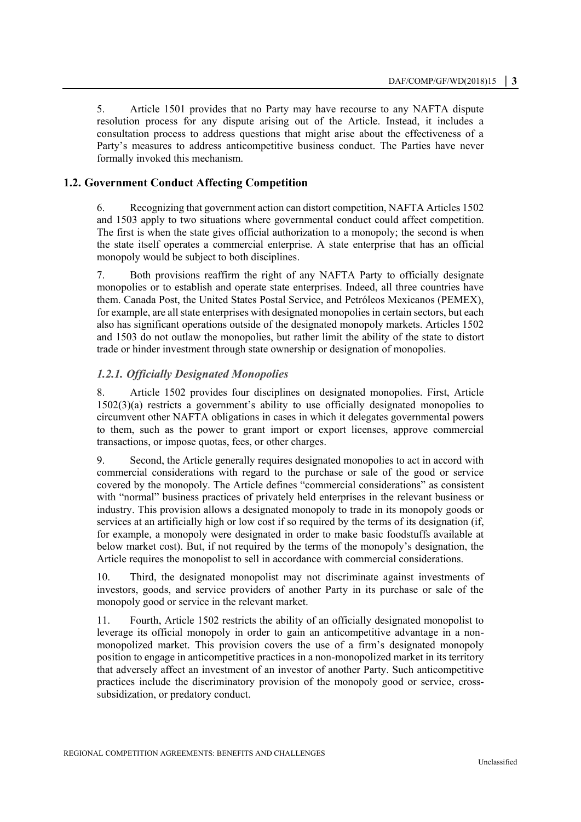5. Article 1501 provides that no Party may have recourse to any NAFTA dispute resolution process for any dispute arising out of the Article. Instead, it includes a consultation process to address questions that might arise about the effectiveness of a Party's measures to address anticompetitive business conduct. The Parties have never formally invoked this mechanism.

# **1.2. Government Conduct Affecting Competition**

6. Recognizing that government action can distort competition, NAFTA Articles 1502 and 1503 apply to two situations where governmental conduct could affect competition. The first is when the state gives official authorization to a monopoly; the second is when the state itself operates a commercial enterprise. A state enterprise that has an official monopoly would be subject to both disciplines.

7. Both provisions reaffirm the right of any NAFTA Party to officially designate monopolies or to establish and operate state enterprises. Indeed, all three countries have them. Canada Post, the United States Postal Service, and Petróleos Mexicanos (PEMEX), for example, are all state enterprises with designated monopolies in certain sectors, but each also has significant operations outside of the designated monopoly markets. Articles 1502 and 1503 do not outlaw the monopolies, but rather limit the ability of the state to distort trade or hinder investment through state ownership or designation of monopolies.

#### *1.2.1. Officially Designated Monopolies*

8. Article 1502 provides four disciplines on designated monopolies. First, Article 1502(3)(a) restricts a government's ability to use officially designated monopolies to circumvent other NAFTA obligations in cases in which it delegates governmental powers to them, such as the power to grant import or export licenses, approve commercial transactions, or impose quotas, fees, or other charges.

9. Second, the Article generally requires designated monopolies to act in accord with commercial considerations with regard to the purchase or sale of the good or service covered by the monopoly. The Article defines "commercial considerations" as consistent with "normal" business practices of privately held enterprises in the relevant business or industry. This provision allows a designated monopoly to trade in its monopoly goods or services at an artificially high or low cost if so required by the terms of its designation (if, for example, a monopoly were designated in order to make basic foodstuffs available at below market cost). But, if not required by the terms of the monopoly's designation, the Article requires the monopolist to sell in accordance with commercial considerations.

10. Third, the designated monopolist may not discriminate against investments of investors, goods, and service providers of another Party in its purchase or sale of the monopoly good or service in the relevant market.

11. Fourth, Article 1502 restricts the ability of an officially designated monopolist to leverage its official monopoly in order to gain an anticompetitive advantage in a nonmonopolized market. This provision covers the use of a firm's designated monopoly position to engage in anticompetitive practices in a non-monopolized market in its territory that adversely affect an investment of an investor of another Party. Such anticompetitive practices include the discriminatory provision of the monopoly good or service, crosssubsidization, or predatory conduct.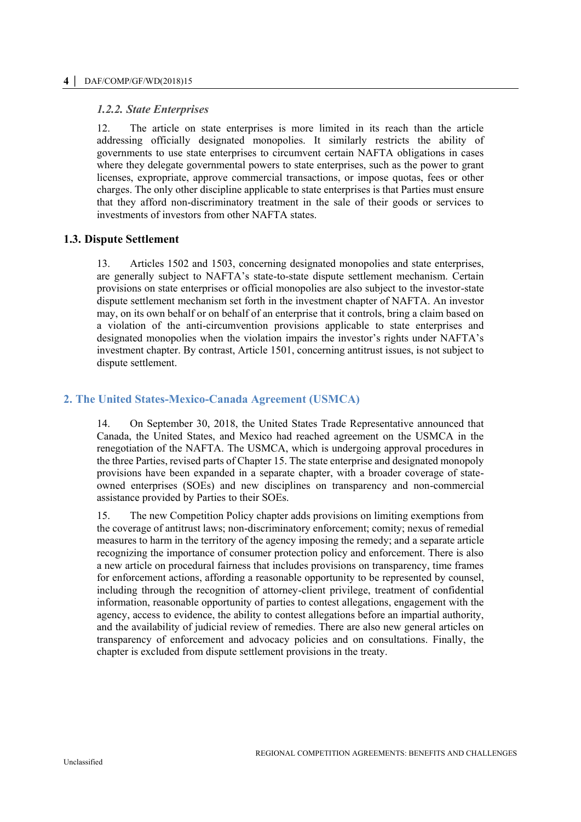#### **4 │** DAF/COMP/GF/WD(2018)15

### *1.2.2. State Enterprises*

12. The article on state enterprises is more limited in its reach than the article addressing officially designated monopolies. It similarly restricts the ability of governments to use state enterprises to circumvent certain NAFTA obligations in cases where they delegate governmental powers to state enterprises, such as the power to grant licenses, expropriate, approve commercial transactions, or impose quotas, fees or other charges. The only other discipline applicable to state enterprises is that Parties must ensure that they afford non-discriminatory treatment in the sale of their goods or services to investments of investors from other NAFTA states.

# **1.3. Dispute Settlement**

13. Articles 1502 and 1503, concerning designated monopolies and state enterprises, are generally subject to NAFTA's state-to-state dispute settlement mechanism. Certain provisions on state enterprises or official monopolies are also subject to the investor-state dispute settlement mechanism set forth in the investment chapter of NAFTA. An investor may, on its own behalf or on behalf of an enterprise that it controls, bring a claim based on a violation of the anti-circumvention provisions applicable to state enterprises and designated monopolies when the violation impairs the investor's rights under NAFTA's investment chapter. By contrast, Article 1501, concerning antitrust issues, is not subject to dispute settlement.

# **2. The United States-Mexico-Canada Agreement (USMCA)**

14. On September 30, 2018, the United States Trade Representative announced that Canada, the United States, and Mexico had reached agreement on the USMCA in the renegotiation of the NAFTA. The USMCA, which is undergoing approval procedures in the three Parties, revised parts of Chapter 15. The state enterprise and designated monopoly provisions have been expanded in a separate chapter, with a broader coverage of stateowned enterprises (SOEs) and new disciplines on transparency and non-commercial assistance provided by Parties to their SOEs.

15. The new Competition Policy chapter adds provisions on limiting exemptions from the coverage of antitrust laws; non-discriminatory enforcement; comity; nexus of remedial measures to harm in the territory of the agency imposing the remedy; and a separate article recognizing the importance of consumer protection policy and enforcement. There is also a new article on procedural fairness that includes provisions on transparency, time frames for enforcement actions, affording a reasonable opportunity to be represented by counsel, including through the recognition of attorney-client privilege, treatment of confidential information, reasonable opportunity of parties to contest allegations, engagement with the agency, access to evidence, the ability to contest allegations before an impartial authority, and the availability of judicial review of remedies. There are also new general articles on transparency of enforcement and advocacy policies and on consultations. Finally, the chapter is excluded from dispute settlement provisions in the treaty.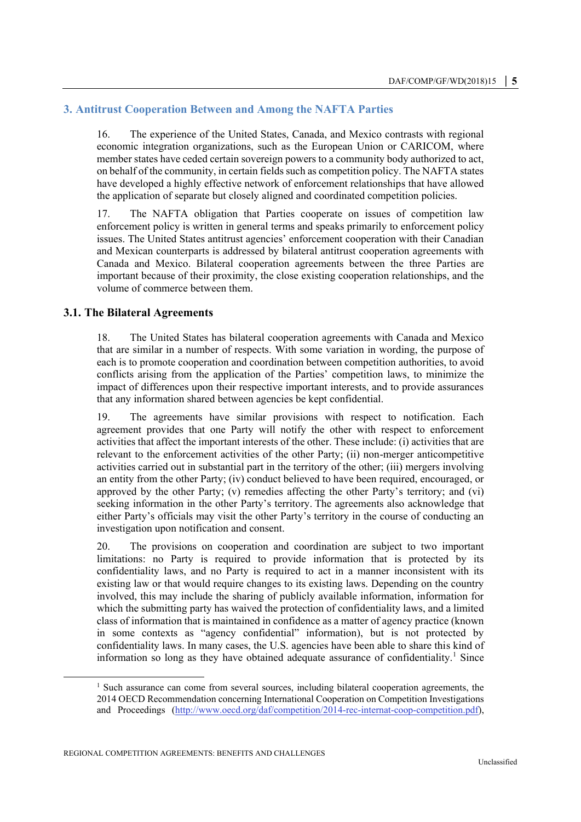## **3. Antitrust Cooperation Between and Among the NAFTA Parties**

16. The experience of the United States, Canada, and Mexico contrasts with regional economic integration organizations, such as the European Union or CARICOM, where member states have ceded certain sovereign powers to a community body authorized to act, on behalf of the community, in certain fields such as competition policy. The NAFTA states have developed a highly effective network of enforcement relationships that have allowed the application of separate but closely aligned and coordinated competition policies.

17. The NAFTA obligation that Parties cooperate on issues of competition law enforcement policy is written in general terms and speaks primarily to enforcement policy issues. The United States antitrust agencies' enforcement cooperation with their Canadian and Mexican counterparts is addressed by bilateral antitrust cooperation agreements with Canada and Mexico. Bilateral cooperation agreements between the three Parties are important because of their proximity, the close existing cooperation relationships, and the volume of commerce between them.

#### **3.1. The Bilateral Agreements**

18. The United States has bilateral cooperation agreements with Canada and Mexico that are similar in a number of respects. With some variation in wording, the purpose of each is to promote cooperation and coordination between competition authorities, to avoid conflicts arising from the application of the Parties' competition laws, to minimize the impact of differences upon their respective important interests, and to provide assurances that any information shared between agencies be kept confidential.

19. The agreements have similar provisions with respect to notification. Each agreement provides that one Party will notify the other with respect to enforcement activities that affect the important interests of the other. These include: (i) activities that are relevant to the enforcement activities of the other Party; (ii) non-merger anticompetitive activities carried out in substantial part in the territory of the other; (iii) mergers involving an entity from the other Party; (iv) conduct believed to have been required, encouraged, or approved by the other Party; (v) remedies affecting the other Party's territory; and (vi) seeking information in the other Party's territory. The agreements also acknowledge that either Party's officials may visit the other Party's territory in the course of conducting an investigation upon notification and consent.

20. The provisions on cooperation and coordination are subject to two important limitations: no Party is required to provide information that is protected by its confidentiality laws, and no Party is required to act in a manner inconsistent with its existing law or that would require changes to its existing laws. Depending on the country involved, this may include the sharing of publicly available information, information for which the submitting party has waived the protection of confidentiality laws, and a limited class of information that is maintained in confidence as a matter of agency practice (known in some contexts as "agency confidential" information), but is not protected by confidentiality laws. In many cases, the U.S. agencies have been able to share this kind of information so long as they have obtained adequate assurance of confidentiality.<sup>1</sup> Since

1

 $1$  Such assurance can come from several sources, including bilateral cooperation agreements, the 2014 OECD Recommendation concerning International Cooperation on Competition Investigations and Proceedings [\(http://www.oecd.org/daf/competition/2014-rec-internat-coop-competition.pdf\)](http://www.oecd.org/daf/competition/2014-rec-internat-coop-competition.pdf),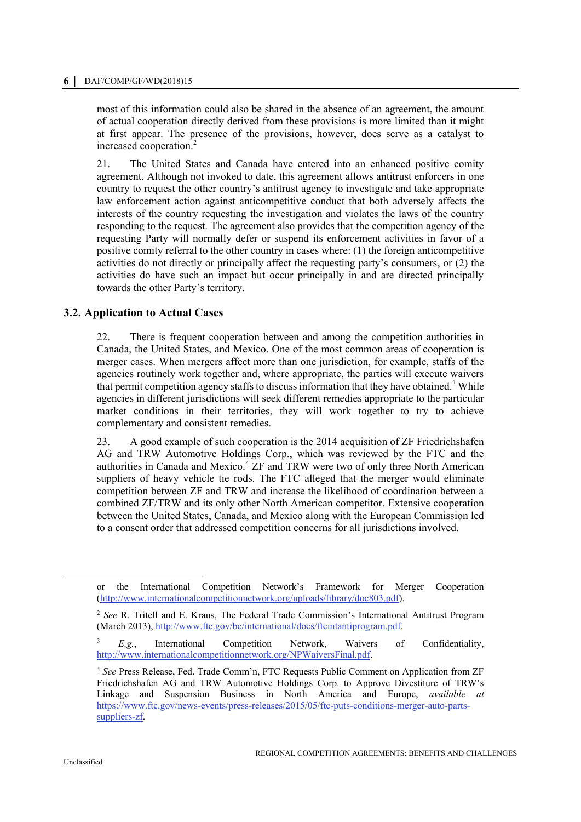#### **6 │** DAF/COMP/GF/WD(2018)15

most of this information could also be shared in the absence of an agreement, the amount of actual cooperation directly derived from these provisions is more limited than it might at first appear. The presence of the provisions, however, does serve as a catalyst to increased cooperation.<sup>2</sup>

21. The United States and Canada have entered into an enhanced positive comity agreement. Although not invoked to date, this agreement allows antitrust enforcers in one country to request the other country's antitrust agency to investigate and take appropriate law enforcement action against anticompetitive conduct that both adversely affects the interests of the country requesting the investigation and violates the laws of the country responding to the request. The agreement also provides that the competition agency of the requesting Party will normally defer or suspend its enforcement activities in favor of a positive comity referral to the other country in cases where: (1) the foreign anticompetitive activities do not directly or principally affect the requesting party's consumers, or (2) the activities do have such an impact but occur principally in and are directed principally towards the other Party's territory.

## **3.2. Application to Actual Cases**

22. There is frequent cooperation between and among the competition authorities in Canada, the United States, and Mexico. One of the most common areas of cooperation is merger cases. When mergers affect more than one jurisdiction, for example, staffs of the agencies routinely work together and, where appropriate, the parties will execute waivers that permit competition agency staffs to discuss information that they have obtained.<sup>3</sup> While agencies in different jurisdictions will seek different remedies appropriate to the particular market conditions in their territories, they will work together to try to achieve complementary and consistent remedies.

23. A good example of such cooperation is the 2014 acquisition of ZF Friedrichshafen AG and TRW Automotive Holdings Corp., which was reviewed by the FTC and the authorities in Canada and Mexico.<sup>4</sup> ZF and TRW were two of only three North American suppliers of heavy vehicle tie rods. The FTC alleged that the merger would eliminate competition between ZF and TRW and increase the likelihood of coordination between a combined ZF/TRW and its only other North American competitor. Extensive cooperation between the United States, Canada, and Mexico along with the European Commission led to a consent order that addressed competition concerns for all jurisdictions involved.

1

or the International Competition Network's Framework for Merger Cooperation [\(http://www.internationalcompetitionnetwork.org/uploads/library/doc803.pdf\)](http://www.internationalcompetitionnetwork.org/uploads/library/doc803.pdf).

<sup>2</sup> *See* R. Tritell and E. Kraus, The Federal Trade Commission's International Antitrust Program (March 2013)[, http://www.ftc.gov/bc/international/docs/ftcintantiprogram.pdf.](http://www.ftc.gov/bc/international/docs/ftcintantiprogram.pdf)

<sup>3</sup> *E.g.*, International Competition Network, Waivers of Confidentiality, [http://www.internationalcompetitionnetwork.org/NPWaiversFinal.pdf.](http://www.internationalcompetitionnetwork.org/NPWaiversFinal.pdf)

<sup>4</sup> *See* Press Release, Fed. Trade Comm'n, FTC Requests Public Comment on Application from ZF Friedrichshafen AG and TRW Automotive Holdings Corp. to Approve Divestiture of TRW's Linkage and Suspension Business in North America and Europe, *available at* [https://www.ftc.gov/news-events/press-releases/2015/05/ftc-puts-conditions-merger-auto-parts](https://www.ftc.gov/news-events/press-releases/2015/05/ftc-puts-conditions-merger-auto-parts-suppliers-zf)[suppliers-zf.](https://www.ftc.gov/news-events/press-releases/2015/05/ftc-puts-conditions-merger-auto-parts-suppliers-zf)